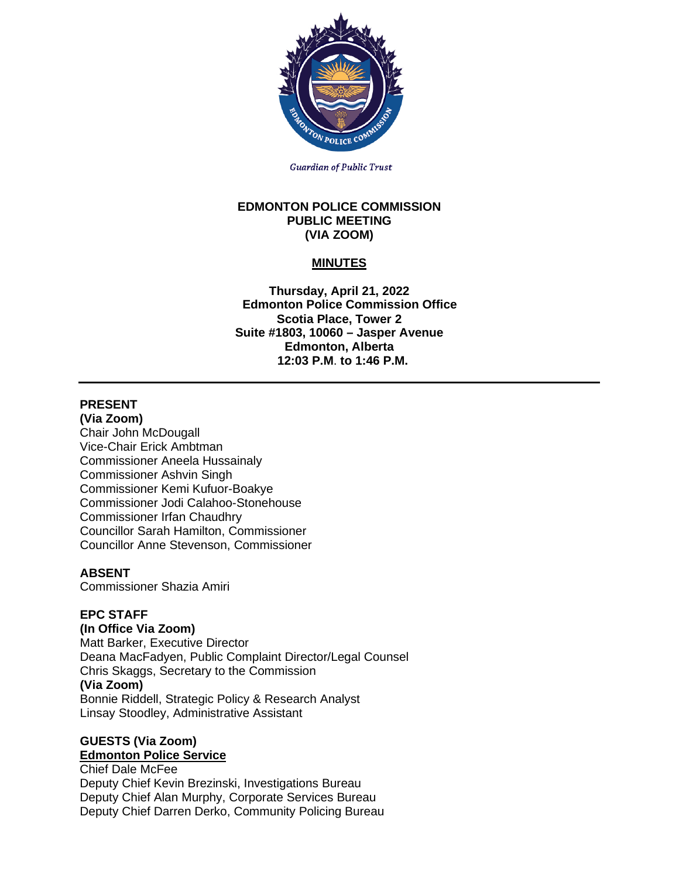

**Guardian of Public Trust** 

#### **EDMONTON POLICE COMMISSION PUBLIC MEETING (VIA ZOOM)**

# **MINUTES**

**Thursday, April 21, 2022 Edmonton Police Commission Office Scotia Place, Tower 2 Suite #1803, 10060 – Jasper Avenue Edmonton, Alberta 12:03 P.M**. **to 1:46 P.M.**

# **PRESENT**

**(Via Zoom)** Chair John McDougall Vice-Chair Erick Ambtman Commissioner Aneela Hussainaly Commissioner Ashvin Singh Commissioner Kemi Kufuor-Boakye Commissioner Jodi Calahoo-Stonehouse Commissioner Irfan Chaudhry Councillor Sarah Hamilton, Commissioner Councillor Anne Stevenson, Commissioner

# **ABSENT**

Commissioner Shazia Amiri

## **EPC STAFF**

#### **(In Office Via Zoom)**

Matt Barker, Executive Director Deana MacFadyen, Public Complaint Director/Legal Counsel Chris Skaggs, Secretary to the Commission **(Via Zoom)** Bonnie Riddell, Strategic Policy & Research Analyst Linsay Stoodley, Administrative Assistant

## **GUESTS (Via Zoom) Edmonton Police Service**

Chief Dale McFee Deputy Chief Kevin Brezinski, Investigations Bureau Deputy Chief Alan Murphy, Corporate Services Bureau Deputy Chief Darren Derko, Community Policing Bureau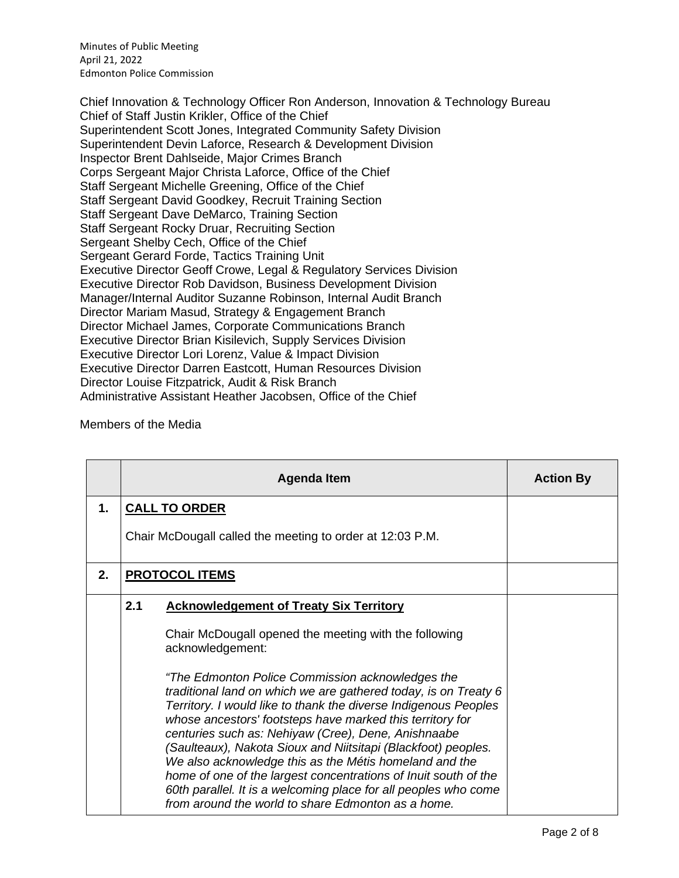Minutes of Public Meeting April 21, 2022 Edmonton Police Commission

Chief Innovation & Technology Officer Ron Anderson, Innovation & Technology Bureau Chief of Staff Justin Krikler, Office of the Chief Superintendent Scott Jones, Integrated Community Safety Division Superintendent Devin Laforce, Research & Development Division Inspector Brent Dahlseide, Major Crimes Branch Corps Sergeant Major Christa Laforce, Office of the Chief Staff Sergeant Michelle Greening, Office of the Chief Staff Sergeant David Goodkey, Recruit Training Section Staff Sergeant Dave DeMarco, Training Section Staff Sergeant Rocky Druar, Recruiting Section Sergeant Shelby Cech, Office of the Chief Sergeant Gerard Forde, Tactics Training Unit Executive Director Geoff Crowe, Legal & Regulatory Services Division Executive Director Rob Davidson, Business Development Division Manager/Internal Auditor Suzanne Robinson, Internal Audit Branch Director Mariam Masud, Strategy & Engagement Branch Director Michael James, Corporate Communications Branch Executive Director Brian Kisilevich, Supply Services Division Executive Director Lori Lorenz, Value & Impact Division Executive Director Darren Eastcott, Human Resources Division Director Louise Fitzpatrick, Audit & Risk Branch Administrative Assistant Heather Jacobsen, Office of the Chief

### Members of the Media

|    |                                                           | <b>Agenda Item</b>                                                                                                                                                                                                                                                                                                                                                                                                                                                                                                                                                                                                                | <b>Action By</b> |
|----|-----------------------------------------------------------|-----------------------------------------------------------------------------------------------------------------------------------------------------------------------------------------------------------------------------------------------------------------------------------------------------------------------------------------------------------------------------------------------------------------------------------------------------------------------------------------------------------------------------------------------------------------------------------------------------------------------------------|------------------|
| 1. |                                                           | <b>CALL TO ORDER</b>                                                                                                                                                                                                                                                                                                                                                                                                                                                                                                                                                                                                              |                  |
|    | Chair McDougall called the meeting to order at 12:03 P.M. |                                                                                                                                                                                                                                                                                                                                                                                                                                                                                                                                                                                                                                   |                  |
| 2. |                                                           | <b>PROTOCOL ITEMS</b>                                                                                                                                                                                                                                                                                                                                                                                                                                                                                                                                                                                                             |                  |
|    | 2.1                                                       | <b>Acknowledgement of Treaty Six Territory</b>                                                                                                                                                                                                                                                                                                                                                                                                                                                                                                                                                                                    |                  |
|    |                                                           | Chair McDougall opened the meeting with the following<br>acknowledgement:                                                                                                                                                                                                                                                                                                                                                                                                                                                                                                                                                         |                  |
|    |                                                           | "The Edmonton Police Commission acknowledges the<br>traditional land on which we are gathered today, is on Treaty 6<br>Territory. I would like to thank the diverse Indigenous Peoples<br>whose ancestors' footsteps have marked this territory for<br>centuries such as: Nehiyaw (Cree), Dene, Anishnaabe<br>(Saulteaux), Nakota Sioux and Niitsitapi (Blackfoot) peoples.<br>We also acknowledge this as the Métis homeland and the<br>home of one of the largest concentrations of Inuit south of the<br>60th parallel. It is a welcoming place for all peoples who come<br>from around the world to share Edmonton as a home. |                  |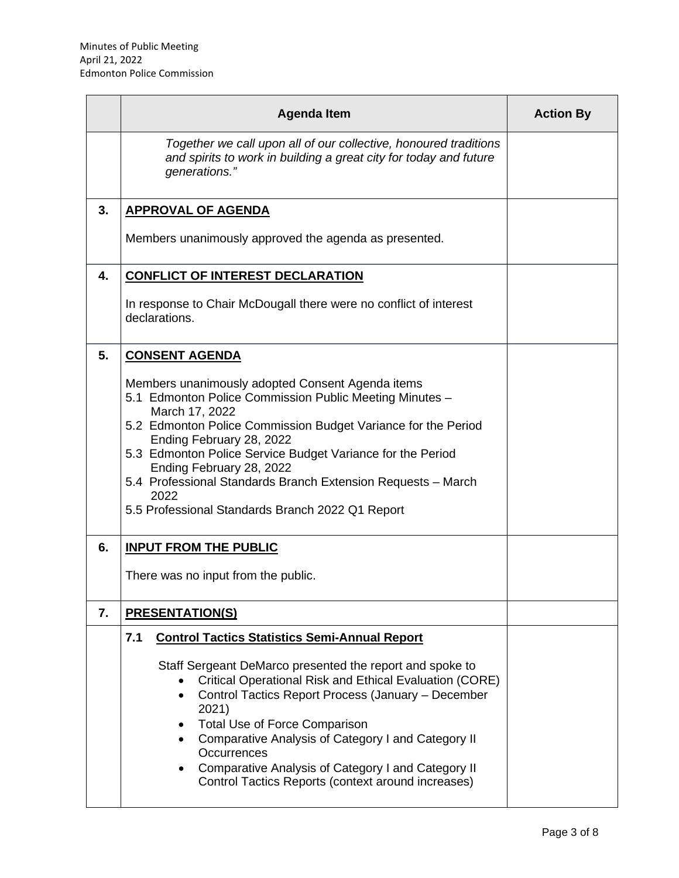|    | <b>Agenda Item</b>                                                                                                                                                                                                                                                                                                                                                                                                                                                                             | <b>Action By</b> |
|----|------------------------------------------------------------------------------------------------------------------------------------------------------------------------------------------------------------------------------------------------------------------------------------------------------------------------------------------------------------------------------------------------------------------------------------------------------------------------------------------------|------------------|
|    | Together we call upon all of our collective, honoured traditions<br>and spirits to work in building a great city for today and future<br>generations."                                                                                                                                                                                                                                                                                                                                         |                  |
| 3. | <b>APPROVAL OF AGENDA</b>                                                                                                                                                                                                                                                                                                                                                                                                                                                                      |                  |
|    | Members unanimously approved the agenda as presented.                                                                                                                                                                                                                                                                                                                                                                                                                                          |                  |
| 4. | <b>CONFLICT OF INTEREST DECLARATION</b>                                                                                                                                                                                                                                                                                                                                                                                                                                                        |                  |
|    | In response to Chair McDougall there were no conflict of interest<br>declarations.                                                                                                                                                                                                                                                                                                                                                                                                             |                  |
| 5. | <b>CONSENT AGENDA</b>                                                                                                                                                                                                                                                                                                                                                                                                                                                                          |                  |
|    | Members unanimously adopted Consent Agenda items<br>5.1 Edmonton Police Commission Public Meeting Minutes -<br>March 17, 2022<br>5.2 Edmonton Police Commission Budget Variance for the Period<br>Ending February 28, 2022<br>5.3 Edmonton Police Service Budget Variance for the Period<br>Ending February 28, 2022<br>5.4 Professional Standards Branch Extension Requests - March<br>2022<br>5.5 Professional Standards Branch 2022 Q1 Report                                               |                  |
| 6. | <b>INPUT FROM THE PUBLIC</b>                                                                                                                                                                                                                                                                                                                                                                                                                                                                   |                  |
|    | There was no input from the public.                                                                                                                                                                                                                                                                                                                                                                                                                                                            |                  |
| 7. | <b>PRESENTATION(S)</b>                                                                                                                                                                                                                                                                                                                                                                                                                                                                         |                  |
|    | <b>Control Tactics Statistics Semi-Annual Report</b><br>7.1<br>Staff Sergeant DeMarco presented the report and spoke to<br><b>Critical Operational Risk and Ethical Evaluation (CORE)</b><br>Control Tactics Report Process (January - December<br>2021)<br><b>Total Use of Force Comparison</b><br>$\bullet$<br>Comparative Analysis of Category I and Category II<br>Occurrences<br>Comparative Analysis of Category I and Category II<br>Control Tactics Reports (context around increases) |                  |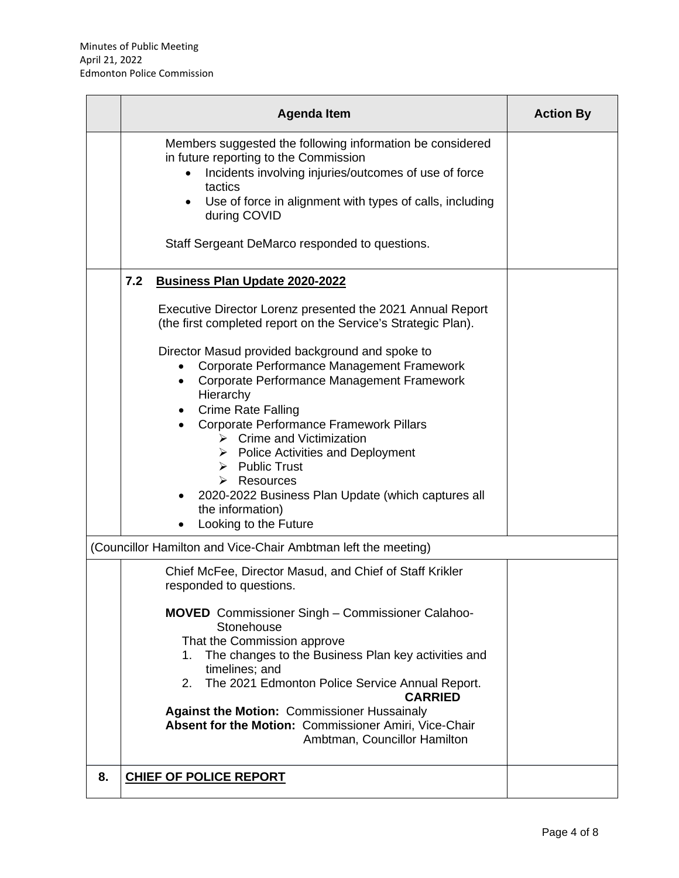| <b>Agenda Item</b>                                                                                                                                                                                                                                                                                                                                                                                                                                                                                                                                                                                                                                                                              | <b>Action By</b> |
|-------------------------------------------------------------------------------------------------------------------------------------------------------------------------------------------------------------------------------------------------------------------------------------------------------------------------------------------------------------------------------------------------------------------------------------------------------------------------------------------------------------------------------------------------------------------------------------------------------------------------------------------------------------------------------------------------|------------------|
| Members suggested the following information be considered<br>in future reporting to the Commission<br>Incidents involving injuries/outcomes of use of force<br>$\bullet$<br>tactics<br>Use of force in alignment with types of calls, including<br>during COVID<br>Staff Sergeant DeMarco responded to questions.                                                                                                                                                                                                                                                                                                                                                                               |                  |
| 7.2<br>Business Plan Update 2020-2022<br>Executive Director Lorenz presented the 2021 Annual Report<br>(the first completed report on the Service's Strategic Plan).<br>Director Masud provided background and spoke to<br>Corporate Performance Management Framework<br>Corporate Performance Management Framework<br>$\bullet$<br>Hierarchy<br><b>Crime Rate Falling</b><br><b>Corporate Performance Framework Pillars</b><br>$\triangleright$ Crime and Victimization<br>$\triangleright$ Police Activities and Deployment<br>$\triangleright$ Public Trust<br>$\triangleright$ Resources<br>2020-2022 Business Plan Update (which captures all<br>the information)<br>Looking to the Future |                  |
| (Councillor Hamilton and Vice-Chair Ambtman left the meeting)<br>Chief McFee, Director Masud, and Chief of Staff Krikler                                                                                                                                                                                                                                                                                                                                                                                                                                                                                                                                                                        |                  |
| responded to questions.<br><b>MOVED</b> Commissioner Singh – Commissioner Calahoo-<br>Stonehouse<br>That the Commission approve<br>The changes to the Business Plan key activities and<br>1.<br>timelines; and<br>The 2021 Edmonton Police Service Annual Report.<br>2.<br><b>CARRIED</b><br><b>Against the Motion: Commissioner Hussainaly</b><br>Absent for the Motion: Commissioner Amiri, Vice-Chair<br>Ambtman, Councillor Hamilton                                                                                                                                                                                                                                                        |                  |
| <b>CHIEF OF POLICE REPORT</b><br>8.                                                                                                                                                                                                                                                                                                                                                                                                                                                                                                                                                                                                                                                             |                  |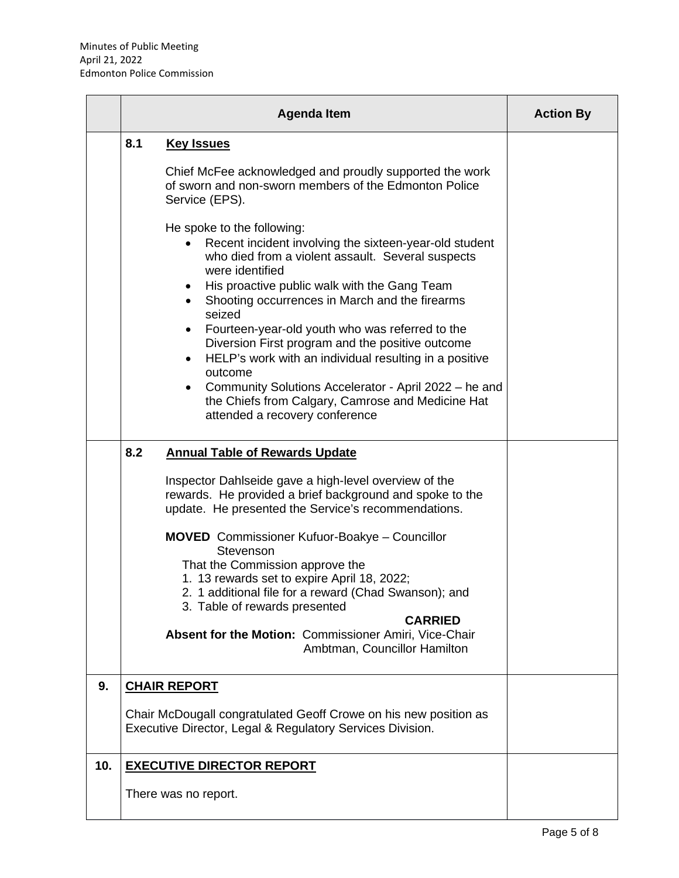|     |     | <b>Action By</b>                                                                                                                                                                                                                                                                                                                                                                                                                                                                                                                                                              |  |
|-----|-----|-------------------------------------------------------------------------------------------------------------------------------------------------------------------------------------------------------------------------------------------------------------------------------------------------------------------------------------------------------------------------------------------------------------------------------------------------------------------------------------------------------------------------------------------------------------------------------|--|
|     | 8.1 | <b>Key Issues</b><br>Chief McFee acknowledged and proudly supported the work<br>of sworn and non-sworn members of the Edmonton Police<br>Service (EPS).                                                                                                                                                                                                                                                                                                                                                                                                                       |  |
|     |     | He spoke to the following:<br>Recent incident involving the sixteen-year-old student<br>who died from a violent assault. Several suspects<br>were identified<br>His proactive public walk with the Gang Team<br>Shooting occurrences in March and the firearms<br>seized<br>Fourteen-year-old youth who was referred to the<br>$\bullet$<br>Diversion First program and the positive outcome                                                                                                                                                                                  |  |
|     |     | HELP's work with an individual resulting in a positive<br>$\bullet$<br>outcome<br>Community Solutions Accelerator - April 2022 - he and<br>the Chiefs from Calgary, Camrose and Medicine Hat<br>attended a recovery conference                                                                                                                                                                                                                                                                                                                                                |  |
|     | 8.2 | <b>Annual Table of Rewards Update</b><br>Inspector Dahlseide gave a high-level overview of the<br>rewards. He provided a brief background and spoke to the<br>update. He presented the Service's recommendations.<br><b>MOVED</b> Commissioner Kufuor-Boakye - Councillor<br>Stevenson<br>That the Commission approve the<br>1. 13 rewards set to expire April 18, 2022;<br>2. 1 additional file for a reward (Chad Swanson); and<br>3. Table of rewards presented<br><b>CARRIED</b><br>Absent for the Motion: Commissioner Amiri, Vice-Chair<br>Ambtman, Councillor Hamilton |  |
| 9.  |     | <b>CHAIR REPORT</b><br>Chair McDougall congratulated Geoff Crowe on his new position as<br>Executive Director, Legal & Regulatory Services Division.                                                                                                                                                                                                                                                                                                                                                                                                                          |  |
| 10. |     | <b>EXECUTIVE DIRECTOR REPORT</b><br>There was no report.                                                                                                                                                                                                                                                                                                                                                                                                                                                                                                                      |  |

 $\overline{\phantom{0}}$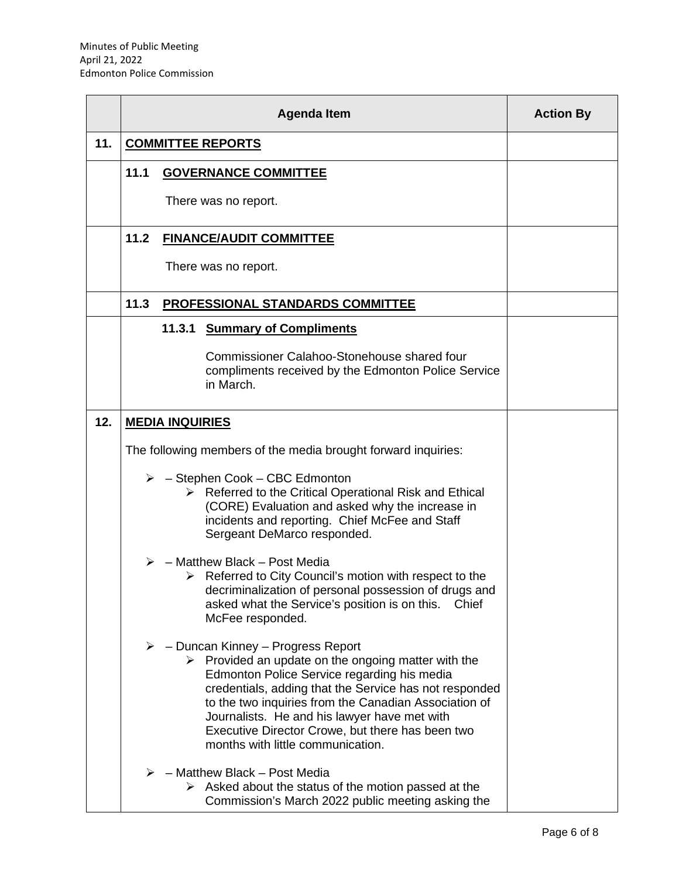|     | <b>Agenda Item</b>                                            |        |                                                                                                                                                                                                                                                                                                                                                                                                                                     | <b>Action By</b> |
|-----|---------------------------------------------------------------|--------|-------------------------------------------------------------------------------------------------------------------------------------------------------------------------------------------------------------------------------------------------------------------------------------------------------------------------------------------------------------------------------------------------------------------------------------|------------------|
| 11. | <b>COMMITTEE REPORTS</b>                                      |        |                                                                                                                                                                                                                                                                                                                                                                                                                                     |                  |
|     | 11.1                                                          |        | <b>GOVERNANCE COMMITTEE</b>                                                                                                                                                                                                                                                                                                                                                                                                         |                  |
|     |                                                               |        | There was no report.                                                                                                                                                                                                                                                                                                                                                                                                                |                  |
|     | 11.2                                                          |        | <b>FINANCE/AUDIT COMMITTEE</b>                                                                                                                                                                                                                                                                                                                                                                                                      |                  |
|     |                                                               |        | There was no report.                                                                                                                                                                                                                                                                                                                                                                                                                |                  |
|     | 11.3                                                          |        | PROFESSIONAL STANDARDS COMMITTEE                                                                                                                                                                                                                                                                                                                                                                                                    |                  |
|     |                                                               | 11.3.1 | <b>Summary of Compliments</b>                                                                                                                                                                                                                                                                                                                                                                                                       |                  |
|     |                                                               |        | Commissioner Calahoo-Stonehouse shared four<br>compliments received by the Edmonton Police Service<br>in March.                                                                                                                                                                                                                                                                                                                     |                  |
| 12. | <b>MEDIA INQUIRIES</b>                                        |        |                                                                                                                                                                                                                                                                                                                                                                                                                                     |                  |
|     | The following members of the media brought forward inquiries: |        |                                                                                                                                                                                                                                                                                                                                                                                                                                     |                  |
|     |                                                               |        | $\triangleright$ - Stephen Cook - CBC Edmonton<br>$\triangleright$ Referred to the Critical Operational Risk and Ethical<br>(CORE) Evaluation and asked why the increase in<br>incidents and reporting. Chief McFee and Staff<br>Sergeant DeMarco responded.                                                                                                                                                                        |                  |
|     |                                                               |        | - Matthew Black - Post Media<br>$\triangleright$ Referred to City Council's motion with respect to the<br>decriminalization of personal possession of drugs and<br>asked what the Service's position is on this.<br>Chief<br>McFee responded.                                                                                                                                                                                       |                  |
|     |                                                               |        | $\triangleright$ - Duncan Kinney - Progress Report<br>$\triangleright$ Provided an update on the ongoing matter with the<br>Edmonton Police Service regarding his media<br>credentials, adding that the Service has not responded<br>to the two inquiries from the Canadian Association of<br>Journalists. He and his lawyer have met with<br>Executive Director Crowe, but there has been two<br>months with little communication. |                  |
|     |                                                               |        | $\triangleright$ - Matthew Black - Post Media<br>$\triangleright$ Asked about the status of the motion passed at the<br>Commission's March 2022 public meeting asking the                                                                                                                                                                                                                                                           |                  |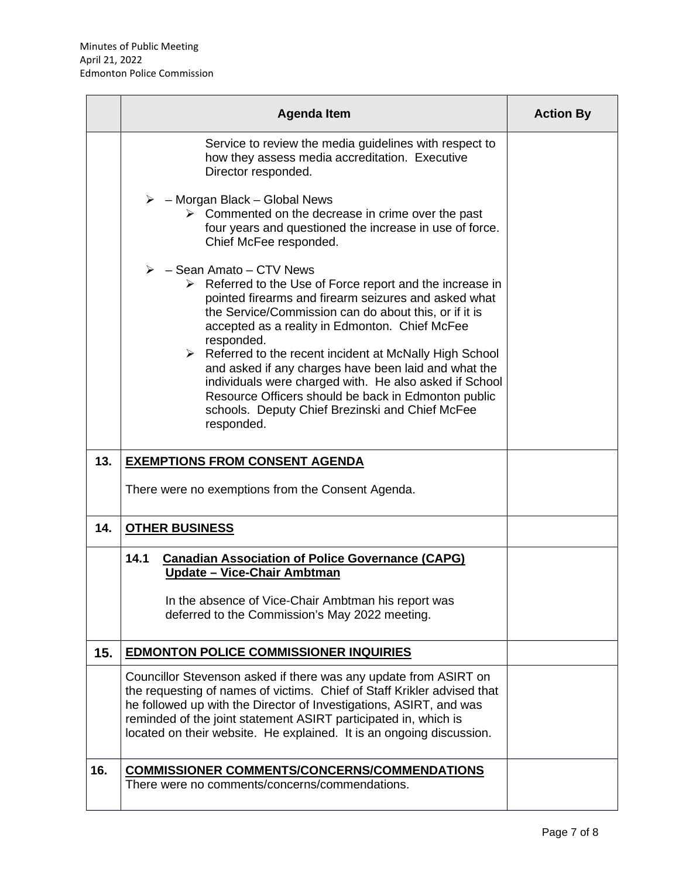|     | <b>Agenda Item</b>                                                                                                                                                                                                                                                                                                                                                                                                                                                                                                                                                                                                         | <b>Action By</b> |
|-----|----------------------------------------------------------------------------------------------------------------------------------------------------------------------------------------------------------------------------------------------------------------------------------------------------------------------------------------------------------------------------------------------------------------------------------------------------------------------------------------------------------------------------------------------------------------------------------------------------------------------------|------------------|
|     | Service to review the media guidelines with respect to<br>how they assess media accreditation. Executive<br>Director responded.                                                                                                                                                                                                                                                                                                                                                                                                                                                                                            |                  |
|     | $\triangleright$ - Morgan Black - Global News<br>$\triangleright$ Commented on the decrease in crime over the past<br>four years and questioned the increase in use of force.<br>Chief McFee responded.                                                                                                                                                                                                                                                                                                                                                                                                                    |                  |
|     | $\triangleright$ - Sean Amato – CTV News<br>$\triangleright$ Referred to the Use of Force report and the increase in<br>pointed firearms and firearm seizures and asked what<br>the Service/Commission can do about this, or if it is<br>accepted as a reality in Edmonton. Chief McFee<br>responded.<br>$\triangleright$ Referred to the recent incident at McNally High School<br>and asked if any charges have been laid and what the<br>individuals were charged with. He also asked if School<br>Resource Officers should be back in Edmonton public<br>schools. Deputy Chief Brezinski and Chief McFee<br>responded. |                  |
| 13. | <b>EXEMPTIONS FROM CONSENT AGENDA</b>                                                                                                                                                                                                                                                                                                                                                                                                                                                                                                                                                                                      |                  |
|     | There were no exemptions from the Consent Agenda.                                                                                                                                                                                                                                                                                                                                                                                                                                                                                                                                                                          |                  |
| 14. | <b>OTHER BUSINESS</b>                                                                                                                                                                                                                                                                                                                                                                                                                                                                                                                                                                                                      |                  |
|     | 14.1<br><b>Canadian Association of Police Governance (CAPG)</b><br>Update - Vice-Chair Ambtman<br>In the absence of Vice-Chair Ambtman his report was<br>deferred to the Commission's May 2022 meeting.                                                                                                                                                                                                                                                                                                                                                                                                                    |                  |
| 15. | <b>EDMONTON POLICE COMMISSIONER INQUIRIES</b>                                                                                                                                                                                                                                                                                                                                                                                                                                                                                                                                                                              |                  |
|     | Councillor Stevenson asked if there was any update from ASIRT on<br>the requesting of names of victims. Chief of Staff Krikler advised that<br>he followed up with the Director of Investigations, ASIRT, and was<br>reminded of the joint statement ASIRT participated in, which is<br>located on their website. He explained. It is an ongoing discussion.                                                                                                                                                                                                                                                               |                  |
| 16. | <b>COMMISSIONER COMMENTS/CONCERNS/COMMENDATIONS</b><br>There were no comments/concerns/commendations.                                                                                                                                                                                                                                                                                                                                                                                                                                                                                                                      |                  |